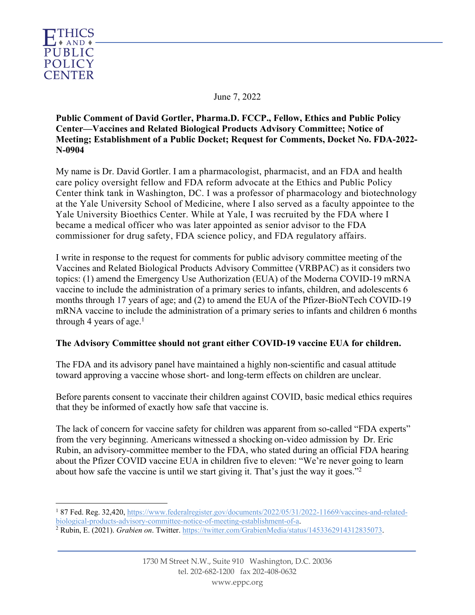

June 7, 2022

**Public Comment of David Gortler, Pharma.D. FCCP., Fellow, Ethics and Public Policy Center—Vaccines and Related Biological Products Advisory Committee; Notice of Meeting; Establishment of a Public Docket; Request for Comments, Docket No. FDA-2022- N-0904**

My name is Dr. David Gortler. I am a pharmacologist, pharmacist, and an FDA and health care policy oversight fellow and FDA reform advocate at the Ethics and Public Policy Center think tank in Washington, DC. I was a professor of pharmacology and biotechnology at the Yale University School of Medicine, where I also served as a faculty appointee to the Yale University Bioethics Center. While at Yale, I was recruited by the FDA where I became a medical officer who was later appointed as senior advisor to the FDA commissioner for drug safety, FDA science policy, and FDA regulatory affairs.

I write in response to the request for comments for public advisory committee meeting of the Vaccines and Related Biological Products Advisory Committee (VRBPAC) as it considers two topics: (1) amend the Emergency Use Authorization (EUA) of the Moderna COVID-19 mRNA vaccine to include the administration of a primary series to infants, children, and adolescents 6 months through 17 years of age; and (2) to amend the EUA of the Pfizer-BioNTech COVID-19 mRNA vaccine to include the administration of a primary series to infants and children 6 months through 4 years of age.<sup>1</sup>

# **The Advisory Committee should not grant either COVID-19 vaccine EUA for children.**

The FDA and its advisory panel have maintained a highly non-scientific and casual attitude toward approving a vaccine whose short- and long-term effects on children are unclear.

Before parents consent to vaccinate their children against COVID, basic medical ethics requires that they be informed of exactly how safe that vaccine is.

The lack of concern for vaccine safety for children was apparent from so-called "FDA experts" from the very beginning. Americans witnessed a shocking on-video admission by Dr. Eric Rubin, an advisory-committee member to the FDA, who stated during an official FDA hearing about the Pfizer COVID vaccine EUA in children five to eleven: "We're never going to learn about how safe the vaccine is until we start giving it. That's just the way it goes."2

<sup>&</sup>lt;sup>1</sup> 87 Fed. Reg. 32,420, https://www.federalregister.gov/documents/2022/05/31/2022-11669/vaccines-and-relatedbiological-products-advisory-committee-notice-of-meeting-establishment-of-a.

<sup>2</sup> Rubin, E. (2021). *Grabien on*. Twitter. https://twitter.com/GrabienMedia/status/1453362914312835073.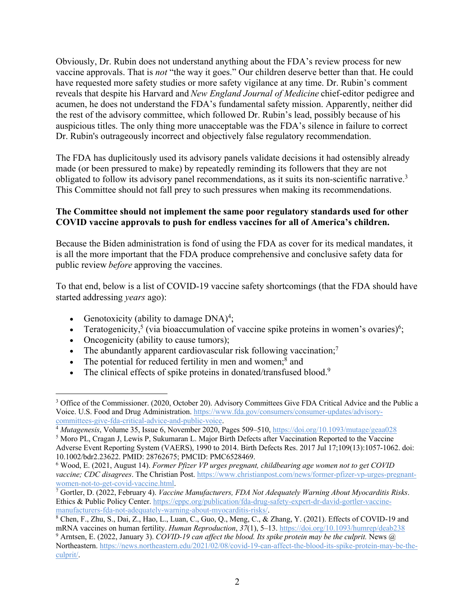Obviously, Dr. Rubin does not understand anything about the FDA's review process for new vaccine approvals. That is *not* "the way it goes." Our children deserve better than that. He could have requested more safety studies or more safety vigilance at any time. Dr. Rubin's comment reveals that despite his Harvard and *New England Journal of Medicine* chief-editor pedigree and acumen, he does not understand the FDA's fundamental safety mission. Apparently, neither did the rest of the advisory committee, which followed Dr. Rubin's lead, possibly because of his auspicious titles. The only thing more unacceptable was the FDA's silence in failure to correct Dr. Rubin's outrageously incorrect and objectively false regulatory recommendation.

The FDA has duplicitously used its advisory panels validate decisions it had ostensibly already made (or been pressured to make) by repeatedly reminding its followers that they are not obligated to follow its advisory panel recommendations, as it suits its non-scientific narrative.<sup>3</sup> This Committee should not fall prey to such pressures when making its recommendations.

# **The Committee should not implement the same poor regulatory standards used for other COVID vaccine approvals to push for endless vaccines for all of America's children.**

Because the Biden administration is fond of using the FDA as cover for its medical mandates, it is all the more important that the FDA produce comprehensive and conclusive safety data for public review *before*approving the vaccines.

To that end, below is a list of COVID-19 vaccine safety shortcomings (that the FDA should have started addressing *years* ago):

- Genotoxicity (ability to damage  $DNA)^4$ ;
- Teratogenicity,<sup>5</sup> (via bioaccumulation of vaccine spike proteins in women's ovaries)<sup>6</sup>;
- Oncogenicity (ability to cause tumors);
- The abundantly apparent cardiovascular risk following vaccination;<sup>7</sup>
- The potential for reduced fertility in men and women;<sup>8</sup> and
- The clinical effects of spike proteins in donated/transfused blood.<sup>9</sup>

<sup>&</sup>lt;sup>3</sup> Office of the Commissioner. (2020, October 20). Advisory Committees Give FDA Critical Advice and the Public a Voice. U.S. Food and Drug Administration. https://www.fda.gov/consumers/consumer-updates/advisorycommittees-give-fda-critical-advice-and-public-voice.

<sup>4</sup> *Mutagenesis*, Volume 35, Issue 6, November 2020, Pages 509–510, https://doi.org/10.1093/mutage/geaa028

<sup>5</sup> Moro PL, Cragan J, Lewis P, Sukumaran L. Major Birth Defects after Vaccination Reported to the Vaccine Adverse Event Reporting System (VAERS), 1990 to 2014. Birth Defects Res. 2017 Jul 17;109(13):1057-1062. doi: 10.1002/bdr2.23622. PMID: 28762675; PMCID: PMC6528469.

<sup>6</sup> Wood, E. (2021, August 14). *Former Pfizer VP urges pregnant, childbearing age women not to get COVID vaccine; CDC disagrees*. The Christian Post. https://www.christianpost.com/news/former-pfizer-vp-urges-pregnantwomen-not-to-get-covid-vaccine.html.

<sup>7</sup> Gortler, D. (2022, February 4). *Vaccine Manufacturers, FDA Not Adequately Warning About Myocarditis Risks*. Ethics & Public Policy Center. https://eppc.org/publication/fda-drug-safety-expert-dr-david-gortler-vaccinemanufacturers-fda-not-adequately-warning-about-myocarditis-risks/.

<sup>8</sup> Chen, F., Zhu, S., Dai, Z., Hao, L., Luan, C., Guo, Q., Meng, C., & Zhang, Y. (2021). Effects of COVID-19 and mRNA vaccines on human fertility. *Human Reproduction*, *37*(1), 5–13. https://doi.org/10.1093/humrep/deab238 <sup>9</sup> Arntsen, E. (2022, January 3). *COVID-19 can affect the blood. Its spike protein may be the culprit.* News @ Northeastern. https://news.northeastern.edu/2021/02/08/covid-19-can-affect-the-blood-its-spike-protein-may-be-theculprit/.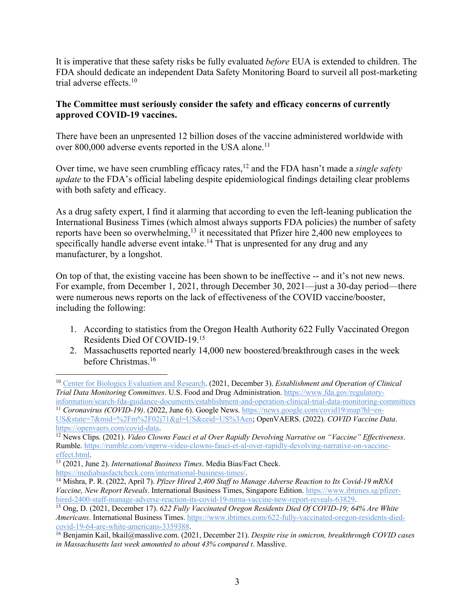It is imperative that these safety risks be fully evaluated *before* EUA is extended to children. The FDA should dedicate an independent Data Safety Monitoring Board to surveil all post-marketing trial adverse effects. 10

# **The Committee must seriously consider the safety and efficacy concerns of currently approved COVID-19 vaccines.**

There have been an unpresented 12 billion doses of the vaccine administered worldwide with over 800,000 adverse events reported in the USA alone.<sup>11</sup>

Over time, we have seen crumbling efficacy rates, <sup>12</sup> and the FDA hasn't made a *single safety update* to the FDA's official labeling despite epidemiological findings detailing clear problems with both safety and efficacy.

As a drug safety expert, I find it alarming that according to even the left-leaning publication the International Business Times (which almost always supports FDA policies) the number of safety reports have been so overwhelming,<sup>13</sup> it necessitated that Pfizer hire 2,400 new employees to specifically handle adverse event intake.<sup>14</sup> That is unpresented for any drug and any manufacturer, by a longshot.

On top of that, the existing vaccine has been shown to be ineffective -- and it's not new news. For example, from December 1, 2021, through December 30, 2021—just a 30-day period—there were numerous news reports on the lack of effectiveness of the COVID vaccine/booster, including the following:

- 1. According to statistics from the Oregon Health Authority 622 Fully Vaccinated Oregon Residents Died Of COVID-19. 15
- 2. Massachusetts reported nearly 14,000 new boostered/breakthrough cases in the week before Christmas.<sup>16</sup>

<sup>11</sup> *Coronavirus (COVID-19)*. (2022, June 6). Google News. https://news.google.com/covid19/map?hl=en-US&state=7&mid=%2Fm%2F02j71&gl=US&ceid=US%3Aen; OpenVAERS. (2022). *COVID Vaccine Data*. https://openvaers.com/covid-data.

<sup>12</sup> News Clips. (2021). *Video Clowns Fauci et al Over Rapidly Devolving Narrative on "Vaccine" Effectiveness*. Rumble. https://rumble.com/vnprrw-video-clowns-fauci-et-al-over-rapidly-devolving-narrative-on-vaccineeffect.html.

<sup>10</sup> Center for Biologics Evaluation and Research. (2021, December 3). *Establishment and Operation of Clinical Trial Data Monitoring Committees*. U.S. Food and Drug Administration. https://www.fda.gov/regulatoryinformation/search-fda-guidance-documents/establishment-and-operation-clinical-trial-data-monitoring-committees

<sup>13</sup> (2021, June 2). *International Business Times*. Media Bias/Fact Check. https://mediabiasfactcheck.com/international-business-times/.

<sup>14</sup> Mishra, P. R. (2022, April 7). *Pfizer Hired 2,400 Staff to Manage Adverse Reaction to Its Covid-19 mRNA Vaccine, New Report Reveals*. International Business Times, Singapore Edition. https://www.ibtimes.sg/pfizerhired-2400-staff-manage-adverse-reaction-its-covid-19-mrna-vaccine-new-report-reveals-63829.

<sup>15</sup> Ong, D. (2021, December 17). *622 Fully Vaccinated Oregon Residents Died Of COVID-19; 64% Are White Americans*. International Business Times. https://www.ibtimes.com/622-fully-vaccinated-oregon-residents-diedcovid-19-64-are-white-americans-3359388.

<sup>16</sup> Benjamin Kail, bkail@masslive.com. (2021, December 21). *Despite rise in omicron, breakthrough COVID cases in Massachusetts last week amounted to about 43% compared t*. Masslive.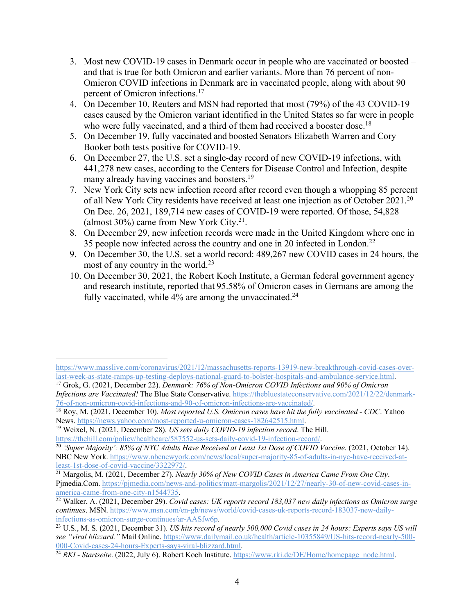- 3. Most new COVID-19 cases in Denmark occur in people who are vaccinated or boosted and that is true for both Omicron and earlier variants. More than 76 percent of non-Omicron COVID infections in Denmark are in vaccinated people, along with about 90 percent of Omicron infections. 17
- 4. On December 10, Reuters and MSN had reported that most (79%) of the 43 COVID-19 cases caused by the Omicron variant identified in the United States so far were in people who were fully vaccinated, and a third of them had received a booster dose.<sup>18</sup>
- 5. On December 19, fully vaccinated and boosted Senators Elizabeth Warren and Cory Booker both tests positive for COVID-19.
- 6. On December 27, the U.S. set a single-day record of new COVID-19 infections, with 441,278 new cases, according to the Centers for Disease Control and Infection, despite many already having vaccines and boosters.<sup>19</sup>
- 7. New York City sets new infection record after record even though a whopping 85 percent of all New York City residents have received at least one injection as of October 2021.<sup>20</sup> On Dec. 26, 2021, 189,714 new cases of COVID-19 were reported. Of those, 54,828 (almost 30%) came from New York City.<sup>21</sup>.
- 8. On December 29, new infection records were made in the United Kingdom where one in 35 people now infected across the country and one in 20 infected in London.22
- 9. On December 30, the U.S. set a world record: 489,267 new COVID cases in 24 hours, the most of any country in the world.<sup>23</sup>
- 10. On December 30, 2021, the Robert Koch Institute, a German federal government agency and research institute, reported that 95.58% of Omicron cases in Germans are among the fully vaccinated, while  $4\%$  are among the unvaccinated.<sup>24</sup>

https://www.masslive.com/coronavirus/2021/12/massachusetts-reports-13919-new-breakthrough-covid-cases-overlast-week-as-state-ramps-up-testing-deploys-national-guard-to-bolster-hospitals-and-ambulance-service.html.

<sup>17</sup> Grok, G. (2021, December 22). *Denmark: 76% of Non-Omicron COVID Infections and 90% of Omicron Infections are Vaccinated!* The Blue State Conservative. https://thebluestateconservative.com/2021/12/22/denmark-76-of-non-omicron-covid-infections-and-90-of-omicron-infections-are-vaccinated/.

<sup>18</sup> Roy, M. (2021, December 10). *Most reported U.S. Omicron cases have hit the fully vaccinated - CDC*. Yahoo News. https://news.yahoo.com/most-reported-u-omicron-cases-182642515.html.

<sup>19</sup> Weixel, N. (2021, December 28). *US sets daily COVID-19 infection record*. The Hill. https://thehill.com/policy/healthcare/587552-us-sets-daily-covid-19-infection-record/.

<sup>20</sup> *'Super Majority': 85% of NYC Adults Have Received at Least 1st Dose of COVID Vaccine*. (2021, October 14). NBC New York. https://www.nbcnewyork.com/news/local/super-majority-85-of-adults-in-nyc-have-received-atleast-1st-dose-of-covid-vaccine/3322972/.

<sup>21</sup> Margolis, M. (2021, December 27). *Nearly 30% of New COVID Cases in America Came From One City*. Pjmedia.Com. https://pjmedia.com/news-and-politics/matt-margolis/2021/12/27/nearly-30-of-new-covid-cases-inamerica-came-from-one-city-n1544735.

<sup>22</sup> Walker, A. (2021, December 29). *Covid cases: UK reports record 183,037 new daily infections as Omicron surge continues*. MSN. https://www.msn.com/en-gb/news/world/covid-cases-uk-reports-record-183037-new-dailyinfections-as-omicron-surge-continues/ar-AASfw6p.

<sup>&</sup>lt;sup>23</sup> U.S., M. S. (2021, December 31). *US hits record of nearly 500,000 Covid cases in 24 hours: Experts says US will see "viral blizzard."* Mail Online. https://www.dailymail.co.uk/health/article-10355849/US-hits-record-nearly-500- 000-Covid-cases-24-hours-Experts-says-viral-blizzard.html.

<sup>&</sup>lt;sup>24</sup> *RKI* - *Startseite*. (2022, July 6). Robert Koch Institute. https://www.rki.de/DE/Home/homepage\_node.html.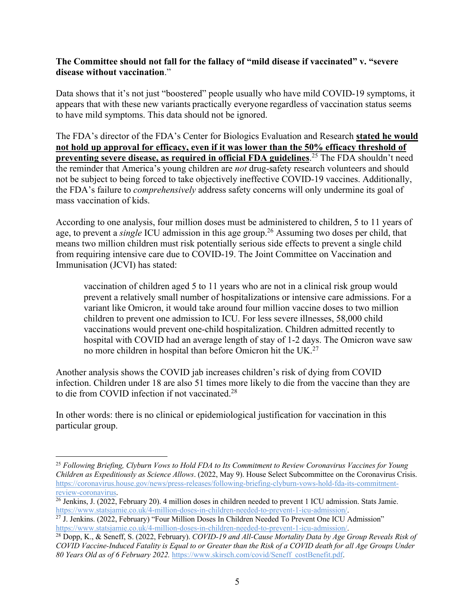#### **The Committee should not fall for the fallacy of "mild disease if vaccinated" v. "severe disease without vaccination**."

Data shows that it's not just "boostered" people usually who have mild COVID-19 symptoms, it appears that with these new variants practically everyone regardless of vaccination status seems to have mild symptoms. This data should not be ignored.

The FDA's director of the FDA's Center for Biologics Evaluation and Research **stated he would not hold up approval for efficacy, even if it was lower than the 50% efficacy threshold of preventing severe disease, as required in official FDA guidelines**. <sup>25</sup> The FDA shouldn't need the reminder that America's young children are *not* drug-safety research volunteers and should not be subject to being forced to take objectively ineffective COVID-19 vaccines. Additionally, the FDA's failure to *comprehensively* address safety concerns will only undermine its goal of mass vaccination of kids.

According to one analysis, four million doses must be administered to children, 5 to 11 years of age, to prevent a *single* ICU admission in this age group.<sup>26</sup> Assuming two doses per child, that means two million children must risk potentially serious side effects to prevent a single child from requiring intensive care due to COVID-19. The Joint Committee on Vaccination and Immunisation (JCVI) has stated:

vaccination of children aged 5 to 11 years who are not in a clinical risk group would prevent a relatively small number of hospitalizations or intensive care admissions. For a variant like Omicron, it would take around four million vaccine doses to two million children to prevent one admission to ICU. For less severe illnesses, 58,000 child vaccinations would prevent one-child hospitalization. Children admitted recently to hospital with COVID had an average length of stay of 1-2 days. The Omicron wave saw no more children in hospital than before Omicron hit the UK.<sup>27</sup>

Another analysis shows the COVID jab increases children's risk of dying from COVID infection. Children under 18 are also 51 times more likely to die from the vaccine than they are to die from COVID infection if not vaccinated.<sup>28</sup>

In other words: there is no clinical or epidemiological justification for vaccination in this particular group.

<sup>25</sup> *Following Briefing, Clyburn Vows to Hold FDA to Its Commitment to Review Coronavirus Vaccines for Young Children as Expeditiously as Science Allows*. (2022, May 9). House Select Subcommittee on the Coronavirus Crisis. https://coronavirus.house.gov/news/press-releases/following-briefing-clyburn-vows-hold-fda-its-commitmentreview-coronavirus.

 $\frac{26}{6}$  Jenkins, J. (2022, February 20). 4 million doses in children needed to prevent 1 ICU admission. Stats Jamie. https://www.statsjamie.co.uk/4-million-doses-in-children-needed-to-prevent-1-icu-admission/.

<sup>&</sup>lt;sup>27</sup> J. Jenkins. (2022, February) "Four Million Doses In Children Needed To Prevent One ICU Admission" https://www.statsjamie.co.uk/4-million-doses-in-children-needed-to-prevent-1-icu-admission/.

<sup>28</sup> Dopp, K., & Seneff, S. (2022, February). *COVID-19 and All-Cause Mortality Data by Age Group Reveals Risk of COVID Vaccine-Induced Fatality is Equal to or Greater than the Risk of a COVID death for all Age Groups Under 80 Years Old as of 6 February 2022.* https://www.skirsch.com/covid/Seneff\_costBenefit.pdf.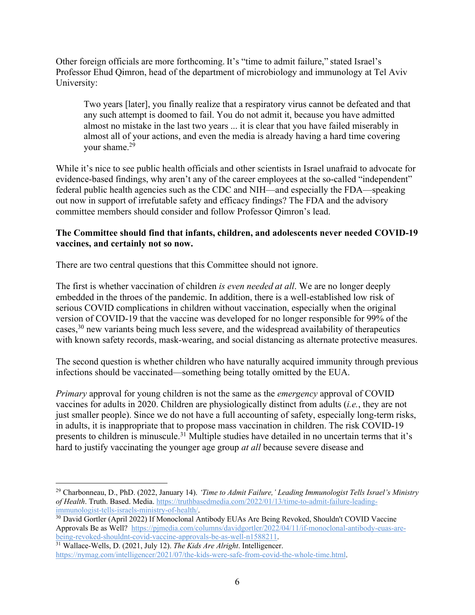Other foreign officials are more forthcoming. It's "time to admit failure," stated Israel's Professor Ehud Qimron, head of the department of microbiology and immunology at Tel Aviv University:

Two years [later], you finally realize that a respiratory virus cannot be defeated and that any such attempt is doomed to fail. You do not admit it, because you have admitted almost no mistake in the last two years ... it is clear that you have failed miserably in almost all of your actions, and even the media is already having a hard time covering your shame.29

While it's nice to see public health officials and other scientists in Israel unafraid to advocate for evidence-based findings, why aren't any of the career employees at the so-called "independent" federal public health agencies such as the CDC and NIH—and especially the FDA—speaking out now in support of irrefutable safety and efficacy findings? The FDA and the advisory committee members should consider and follow Professor Qimron's lead.

### **The Committee should find that infants, children, and adolescents never needed COVID-19 vaccines, and certainly not so now.**

There are two central questions that this Committee should not ignore.

The first is whether vaccination of children *is even needed at all*. We are no longer deeply embedded in the throes of the pandemic. In addition, there is a well-established low risk of serious COVID complications in children without vaccination, especially when the original version of COVID-19 that the vaccine was developed for no longer responsible for 99% of the cases,<sup>30</sup> new variants being much less severe, and the widespread availability of therapeutics with known safety records, mask-wearing, and social distancing as alternate protective measures.

The second question is whether children who have naturally acquired immunity through previous infections should be vaccinated—something being totally omitted by the EUA.

*Primary* approval for young children is not the same as the *emergency* approval of COVID vaccines for adults in 2020. Children are physiologically distinct from adults (*i.e.*, they are not just smaller people). Since we do not have a full accounting of safety, especially long-term risks, in adults, it is inappropriate that to propose mass vaccination in children. The risk COVID-19 presents to children is minuscule.<sup>31</sup> Multiple studies have detailed in no uncertain terms that it's hard to justify vaccinating the younger age group *at all* because severe disease and

<sup>29</sup> Charbonneau, D., PhD. (2022, January 14). *'Time to Admit Failure,' Leading Immunologist Tells Israel's Ministry of Health*. Truth. Based. Media. https://truthbasedmedia.com/2022/01/13/time-to-admit-failure-leadingimmunologist-tells-israels-ministry-of-health/.

<sup>30</sup> David Gortler (April 2022) If Monoclonal Antibody EUAs Are Being Revoked, Shouldn't COVID Vaccine Approvals Be as Well? https://pjmedia.com/columns/davidgortler/2022/04/11/if-monoclonal-antibody-euas-arebeing-revoked-shouldnt-covid-vaccine-approvals-be-as-well-n1588211.

<sup>31</sup> Wallace-Wells, D. (2021, July 12). *The Kids Are Alright*. Intelligencer. https://nymag.com/intelligencer/2021/07/the-kids-were-safe-from-covid-the-whole-time.html.